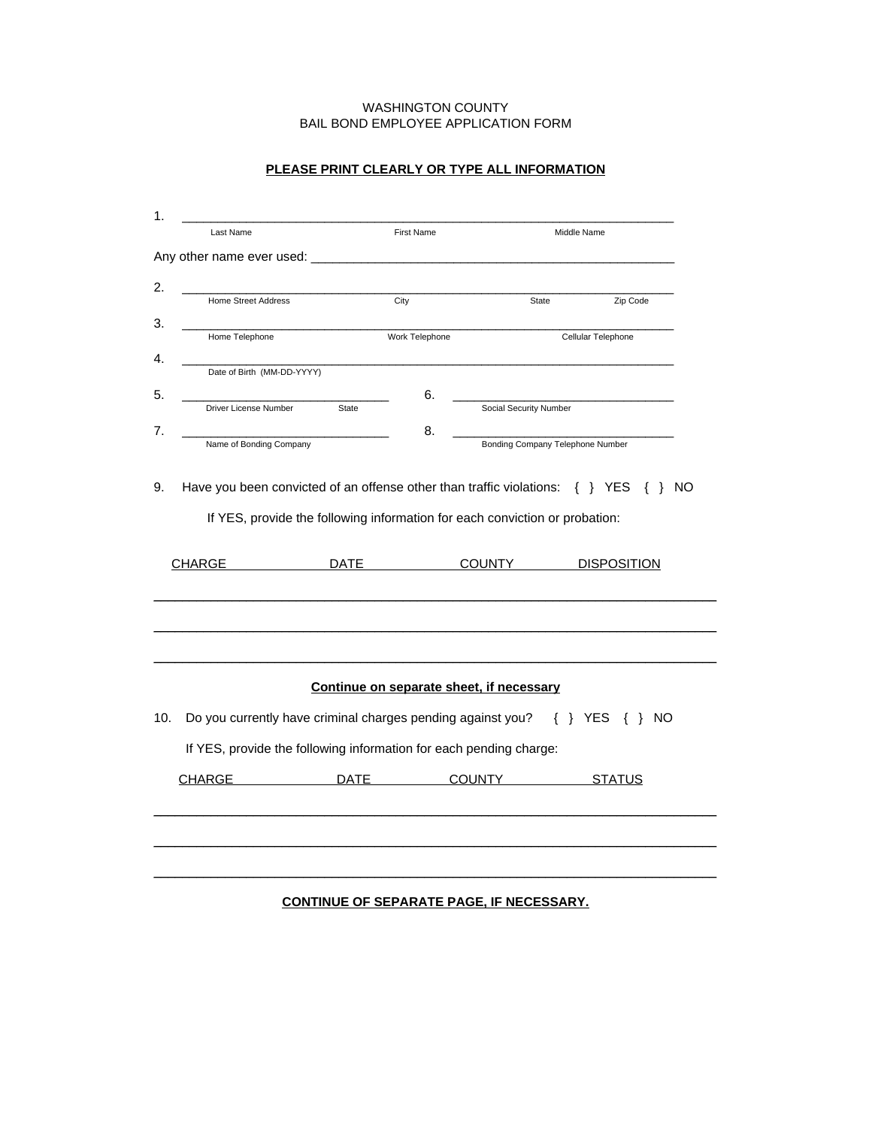## WASHINGTON COUNTY BAIL BOND EMPLOYEE APPLICATION FORM

| Last Name                                                   |                            |              | <b>First Name</b>                      |                                                                                                                                                                                  | Middle Name |                              |
|-------------------------------------------------------------|----------------------------|--------------|----------------------------------------|----------------------------------------------------------------------------------------------------------------------------------------------------------------------------------|-------------|------------------------------|
| Any other name ever used: _                                 |                            |              |                                        |                                                                                                                                                                                  |             |                              |
| <b>Home Street Address</b>                                  |                            | City         |                                        | State                                                                                                                                                                            |             | Zip Code                     |
| Home Telephone                                              |                            |              | Work Telephone                         | Cellular Telephone                                                                                                                                                               |             |                              |
|                                                             | Date of Birth (MM-DD-YYYY) |              |                                        |                                                                                                                                                                                  |             |                              |
|                                                             |                            |              | 6.                                     |                                                                                                                                                                                  |             |                              |
| Driver License Number                                       |                            | <b>State</b> |                                        | Social Security Number                                                                                                                                                           |             |                              |
| Name of Bonding Company                                     |                            |              | 8.<br>Bonding Company Telephone Number |                                                                                                                                                                                  |             |                              |
|                                                             |                            | DATE         |                                        | Have you been convicted of an offense other than traffic violations: $\{ \}$ YES<br>If YES, provide the following information for each conviction or probation:<br><b>COUNTY</b> |             | { } NO<br><b>DISPOSITION</b> |
|                                                             |                            |              |                                        |                                                                                                                                                                                  |             |                              |
| CHARGE                                                      |                            |              |                                        |                                                                                                                                                                                  |             |                              |
|                                                             |                            |              |                                        | Continue on separate sheet, if necessary                                                                                                                                         |             |                              |
| Do you currently have criminal charges pending against you? |                            |              |                                        |                                                                                                                                                                                  | $\{\}$ YES  | $\{\}$ NO                    |
|                                                             |                            |              |                                        | If YES, provide the following information for each pending charge:                                                                                                               |             |                              |

## **PLEASE PRINT CLEARLY OR TYPE ALL INFORMATION**

## **CONTINUE OF SEPARATE PAGE, IF NECESSARY.**